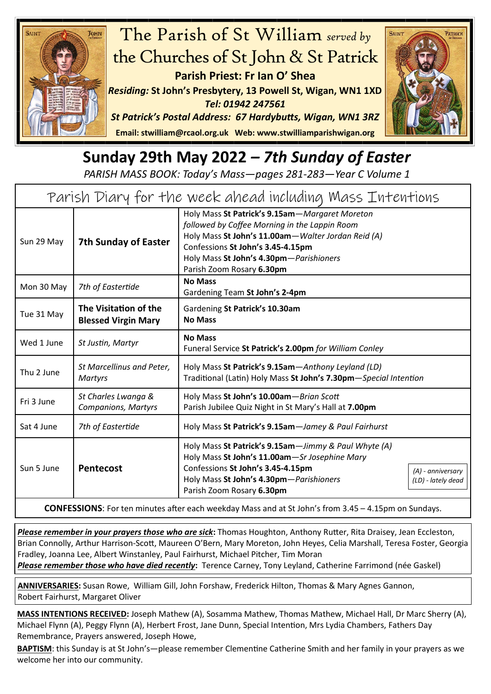

## The Parish of St William *served by* the Churches of St John & St Patrick **Parish Priest: Fr Ian O' Shea**

*Residing:* **St John's Presbytery, 13 Powell St, Wigan, WN1 1XD**  *Tel: 01942 247561*



**Email: [stwilliam@rcaol.org.uk](mailto:stwilliam@rcaolp.co.uk) Web: [www.stwilliamparishwigan.org](http://www.stwilliamparishwigan.org)**

## **Sunday 29th May 2022** *– 7th Sunday of Easter*

*PARISH MASS BOOK: Today's Mass—pages 281-283—Year C Volume 1*

| Parish Diary for the week ahead including Mass Intentions                                                   |                                                     |                                                                                                                                                                                                                                                                    |
|-------------------------------------------------------------------------------------------------------------|-----------------------------------------------------|--------------------------------------------------------------------------------------------------------------------------------------------------------------------------------------------------------------------------------------------------------------------|
| Sun 29 May                                                                                                  | <b>7th Sunday of Easter</b>                         | Holy Mass St Patrick's 9.15am-Margaret Moreton<br>followed by Coffee Morning in the Lappin Room<br>Holy Mass St John's 11.00am-Walter Jordan Reid (A)<br>Confessions St John's 3.45-4.15pm<br>Holy Mass St John's 4.30pm-Parishioners<br>Parish Zoom Rosary 6.30pm |
| Mon 30 May                                                                                                  | 7th of Eastertide                                   | <b>No Mass</b><br>Gardening Team St John's 2-4pm                                                                                                                                                                                                                   |
| Tue 31 May                                                                                                  | The Visitation of the<br><b>Blessed Virgin Mary</b> | Gardening St Patrick's 10.30am<br><b>No Mass</b>                                                                                                                                                                                                                   |
| Wed 1 June                                                                                                  | St Justin, Martyr                                   | <b>No Mass</b><br>Funeral Service St Patrick's 2.00pm for William Conley                                                                                                                                                                                           |
| Thu 2 June                                                                                                  | St Marcellinus and Peter,<br><b>Martyrs</b>         | Holy Mass St Patrick's 9.15am-Anthony Leyland (LD)<br>Traditional (Latin) Holy Mass St John's 7.30pm-Special Intention                                                                                                                                             |
| Fri 3 June                                                                                                  | St Charles Lwanga &<br><b>Companions, Martyrs</b>   | Holy Mass St John's 10.00am-Brian Scott<br>Parish Jubilee Quiz Night in St Mary's Hall at 7.00pm                                                                                                                                                                   |
| Sat 4 June                                                                                                  | 7th of Eastertide                                   | Holy Mass St Patrick's 9.15am-Jamey & Paul Fairhurst                                                                                                                                                                                                               |
| Sun 5 June                                                                                                  | <b>Pentecost</b>                                    | Holy Mass St Patrick's 9.15am-Jimmy & Paul Whyte (A)<br>Holy Mass St John's 11.00am-Sr Josephine Mary<br>Confessions St John's 3.45-4.15pm<br>(A) - anniversary<br>Holy Mass St John's 4.30pm-Parishioners<br>(LD) - lately dead<br>Parish Zoom Rosary 6.30pm      |
| <b>CONFESSIONS:</b> For ten minutes after each weekday Mass and at St John's from 3.45 - 4.15pm on Sundays. |                                                     |                                                                                                                                                                                                                                                                    |

*Please remember in your prayers those who are sick***:** Thomas Houghton, Anthony Rutter, Rita Draisey, Jean Eccleston, Brian Connolly, Arthur Harrison-Scott, Maureen O'Bern, Mary Moreton, John Heyes, Celia Marshall, Teresa Foster, Georgia Fradley, Joanna Lee, Albert Winstanley, Paul Fairhurst, Michael Pitcher, Tim Moran

*Please remember those who have died recently***:** Terence Carney, Tony Leyland, Catherine Farrimond (née Gaskel)

**ANNIVERSARIES:** Susan Rowe, William Gill, John Forshaw, Frederick Hilton, Thomas & Mary Agnes Gannon, Robert Fairhurst, Margaret Oliver

**MASS INTENTIONS RECEIVED:** Joseph Mathew (A), Sosamma Mathew, Thomas Mathew, Michael Hall, Dr Marc Sherry (A), Michael Flynn (A), Peggy Flynn (A), Herbert Frost, Jane Dunn, Special Intention, Mrs Lydia Chambers, Fathers Day Remembrance, Prayers answered, Joseph Howe,

**BAPTISM**: this Sunday is at St John's—please remember Clementine Catherine Smith and her family in your prayers as we welcome her into our community.